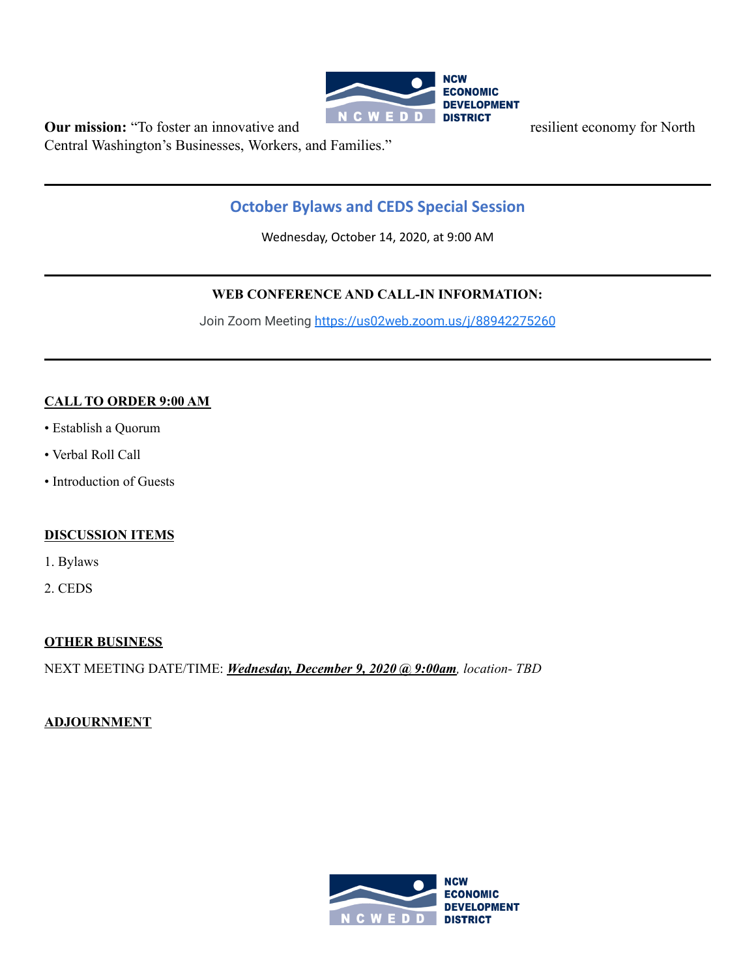

**Our mission:** "To foster an innovative and **REPLACE POPE SETTLEMENT** resilient economy for North Central Washington's Businesses, Workers, and Families."

# **October Bylaws and CEDS Special Session**

Wednesday, October 14, 2020, at 9:00 AM

# **WEB CONFERENCE AND CALL-IN INFORMATION:**

Join Zoom Meeting <https://us02web.zoom.us/j/88942275260>

# **CALL TO ORDER 9:00 AM**

- Establish a Quorum
- Verbal Roll Call
- Introduction of Guests

#### **DISCUSSION ITEMS**

- 1. Bylaws
- 2. CEDS

# **OTHER BUSINESS**

NEXT MEETING DATE/TIME: *Wednesday, December 9, 2020 @ 9:00am, location- TBD*

# **ADJOURNMENT**

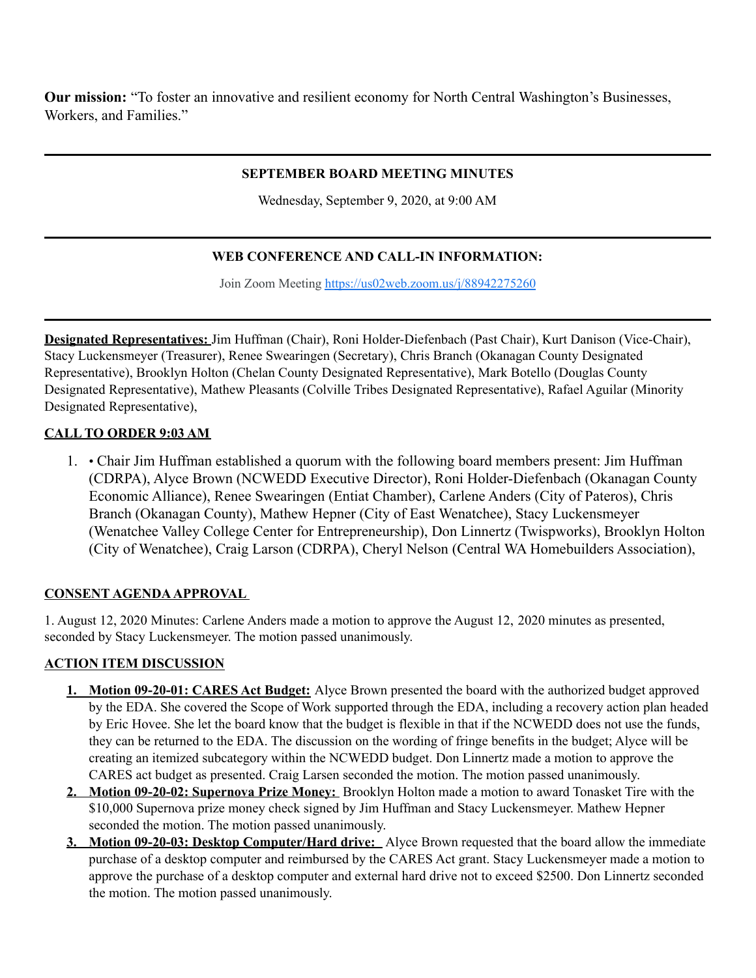**Our mission:** "To foster an innovative and resilient economy for North Central Washington's Businesses, Workers, and Families."

### **SEPTEMBER BOARD MEETING MINUTES**

Wednesday, September 9, 2020, at 9:00 AM

# **WEB CONFERENCE AND CALL-IN INFORMATION:**

Join Zoom Meeting https://us02web.zoom.us/j/88942275260

**Designated Representatives:** Jim Huffman (Chair), Roni Holder-Diefenbach (Past Chair), Kurt Danison (Vice-Chair), Stacy Luckensmeyer (Treasurer), Renee Swearingen (Secretary), Chris Branch (Okanagan County Designated Representative), Brooklyn Holton (Chelan County Designated Representative), Mark Botello (Douglas County Designated Representative), Mathew Pleasants (Colville Tribes Designated Representative), Rafael Aguilar (Minority Designated Representative),

### **CALL TO ORDER 9:03 AM**

1. • Chair Jim Huffman established a quorum with the following board members present: Jim Huffman (CDRPA), Alyce Brown (NCWEDD Executive Director), Roni Holder-Diefenbach (Okanagan County Economic Alliance), Renee Swearingen (Entiat Chamber), Carlene Anders (City of Pateros), Chris Branch (Okanagan County), Mathew Hepner (City of East Wenatchee), Stacy Luckensmeyer (Wenatchee Valley College Center for Entrepreneurship), Don Linnertz (Twispworks), Brooklyn Holton (City of Wenatchee), Craig Larson (CDRPA), Cheryl Nelson (Central WA Homebuilders Association),

#### **CONSENT AGENDAAPPROVAL**

1. August 12, 2020 Minutes: Carlene Anders made a motion to approve the August 12, 2020 minutes as presented, seconded by Stacy Luckensmeyer. The motion passed unanimously.

#### **ACTION ITEM DISCUSSION**

- **1. Motion 09-20-01: CARES Act Budget:** Alyce Brown presented the board with the authorized budget approved by the EDA. She covered the Scope of Work supported through the EDA, including a recovery action plan headed by Eric Hovee. She let the board know that the budget is flexible in that if the NCWEDD does not use the funds, they can be returned to the EDA. The discussion on the wording of fringe benefits in the budget; Alyce will be creating an itemized subcategory within the NCWEDD budget. Don Linnertz made a motion to approve the CARES act budget as presented. Craig Larsen seconded the motion. The motion passed unanimously.
- **2. Motion 09-20-02: Supernova Prize Money:** Brooklyn Holton made a motion to award Tonasket Tire with the \$10,000 Supernova prize money check signed by Jim Huffman and Stacy Luckensmeyer. Mathew Hepner seconded the motion. The motion passed unanimously.
- **3. Motion 09-20-03: Desktop Computer/Hard drive:** Alyce Brown requested that the board allow the immediate purchase of a desktop computer and reimbursed by the CARES Act grant. Stacy Luckensmeyer made a motion to approve the purchase of a desktop computer and external hard drive not to exceed \$2500. Don Linnertz seconded the motion. The motion passed unanimously.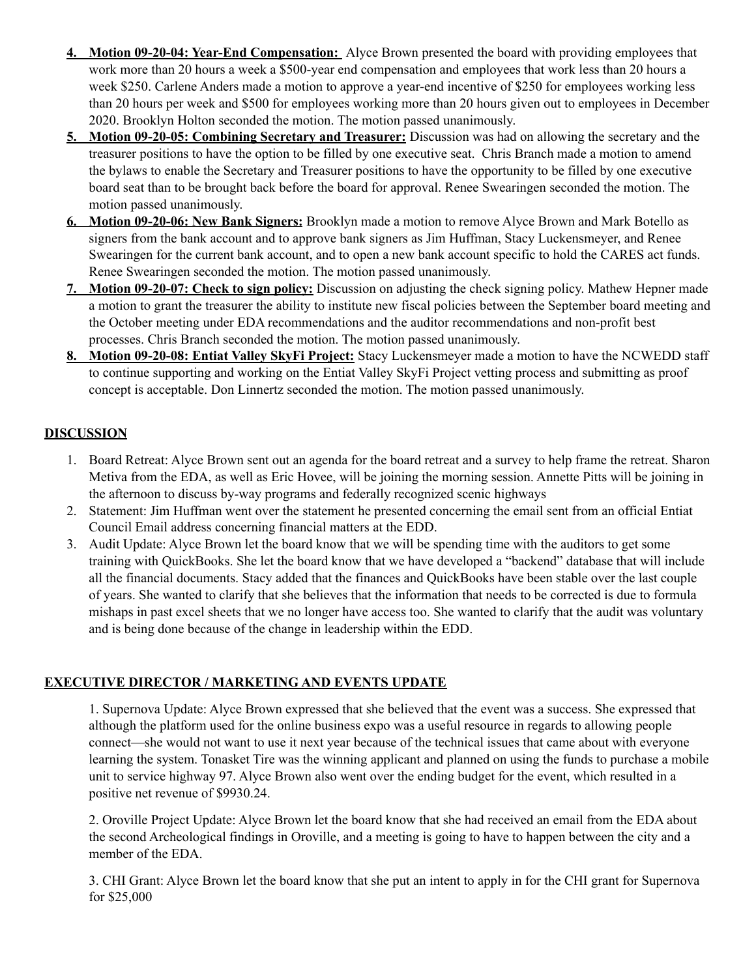- **4. Motion 09-20-04: Year-End Compensation:** Alyce Brown presented the board with providing employees that work more than 20 hours a week a \$500-year end compensation and employees that work less than 20 hours a week \$250. Carlene Anders made a motion to approve a year-end incentive of \$250 for employees working less than 20 hours per week and \$500 for employees working more than 20 hours given out to employees in December 2020. Brooklyn Holton seconded the motion. The motion passed unanimously.
- **5. Motion 09-20-05: Combining Secretary and Treasurer:** Discussion was had on allowing the secretary and the treasurer positions to have the option to be filled by one executive seat. Chris Branch made a motion to amend the bylaws to enable the Secretary and Treasurer positions to have the opportunity to be filled by one executive board seat than to be brought back before the board for approval. Renee Swearingen seconded the motion. The motion passed unanimously.
- **6. Motion 09-20-06: New Bank Signers:** Brooklyn made a motion to remove Alyce Brown and Mark Botello as signers from the bank account and to approve bank signers as Jim Huffman, Stacy Luckensmeyer, and Renee Swearingen for the current bank account, and to open a new bank account specific to hold the CARES act funds. Renee Swearingen seconded the motion. The motion passed unanimously.
- **7. Motion 09-20-07: Check to sign policy:** Discussion on adjusting the check signing policy. Mathew Hepner made a motion to grant the treasurer the ability to institute new fiscal policies between the September board meeting and the October meeting under EDA recommendations and the auditor recommendations and non-profit best processes. Chris Branch seconded the motion. The motion passed unanimously.
- **8. Motion 09-20-08: Entiat Valley SkyFi Project:** Stacy Luckensmeyer made a motion to have the NCWEDD staff to continue supporting and working on the Entiat Valley SkyFi Project vetting process and submitting as proof concept is acceptable. Don Linnertz seconded the motion. The motion passed unanimously.

# **DISCUSSION**

- 1. Board Retreat: Alyce Brown sent out an agenda for the board retreat and a survey to help frame the retreat. Sharon Metiva from the EDA, as well as Eric Hovee, will be joining the morning session. Annette Pitts will be joining in the afternoon to discuss by-way programs and federally recognized scenic highways
- 2. Statement: Jim Huffman went over the statement he presented concerning the email sent from an official Entiat Council Email address concerning financial matters at the EDD.
- 3. Audit Update: Alyce Brown let the board know that we will be spending time with the auditors to get some training with QuickBooks. She let the board know that we have developed a "backend" database that will include all the financial documents. Stacy added that the finances and QuickBooks have been stable over the last couple of years. She wanted to clarify that she believes that the information that needs to be corrected is due to formula mishaps in past excel sheets that we no longer have access too. She wanted to clarify that the audit was voluntary and is being done because of the change in leadership within the EDD.

# **EXECUTIVE DIRECTOR / MARKETING AND EVENTS UPDATE**

1. Supernova Update: Alyce Brown expressed that she believed that the event was a success. She expressed that although the platform used for the online business expo was a useful resource in regards to allowing people connect—she would not want to use it next year because of the technical issues that came about with everyone learning the system. Tonasket Tire was the winning applicant and planned on using the funds to purchase a mobile unit to service highway 97. Alyce Brown also went over the ending budget for the event, which resulted in a positive net revenue of \$9930.24.

2. Oroville Project Update: Alyce Brown let the board know that she had received an email from the EDA about the second Archeological findings in Oroville, and a meeting is going to have to happen between the city and a member of the EDA.

3. CHI Grant: Alyce Brown let the board know that she put an intent to apply in for the CHI grant for Supernova for \$25,000